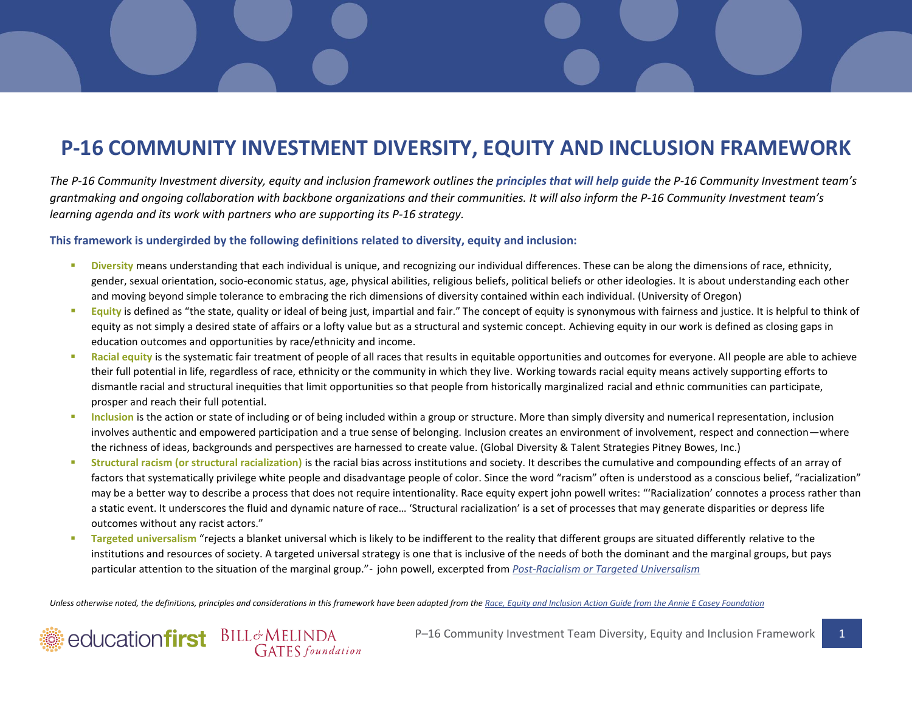## **P-16 COMMUNITY INVESTMENT DIVERSITY, EQUITY AND INCLUSION FRAMEWORK**

*The P-16 Community Investment diversity, equity and inclusion framework outlines the principles that will help guide the P-16 Community Investment team's grantmaking and ongoing collaboration with backbone organizations and their communities. It will also inform the P-16 Community Investment team's learning agenda and its work with partners who are supporting its P-16 strategy.*

## **This framework is undergirded by the following definitions related to diversity, equity and inclusion:**

- **Diversity** means understanding that each individual is unique, and recognizing our individual differences. These can be along the dimensions of race, ethnicity, gender, sexual orientation, socio-economic status, age, physical abilities, religious beliefs, political beliefs or other ideologies. It is about understanding each other and moving beyond simple tolerance to embracing the rich dimensions of diversity contained within each individual. (University of Oregon)
- **Equity** is defined as "the state, quality or ideal of being just, impartial and fair." The concept of equity is synonymous with fairness and justice. It is helpful to think of equity as not simply a desired state of affairs or a lofty value but as a structural and systemic concept. Achieving equity in our work is defined as closing gaps in education outcomes and opportunities by race/ethnicity and income.
- Racial equity is the systematic fair treatment of people of all races that results in equitable opportunities and outcomes for everyone. All people are able to achieve their full potential in life, regardless of race, ethnicity or the community in which they live. Working towards racial equity means actively supporting efforts to dismantle racial and structural inequities that limit opportunities so that people from historically marginalized racial and ethnic communities can participate, prosper and reach their full potential.
- Inclusion is the action or state of including or of being included within a group or structure. More than simply diversity and numerical representation, inclusion involves authentic and empowered participation and a true sense of belonging. Inclusion creates an environment of involvement, respect and connection—where the richness of ideas, backgrounds and perspectives are harnessed to create value. (Global Diversity & Talent Strategies Pitney Bowes, Inc.)
- **Structural racism (or structural racialization)** is the racial bias across institutions and society. It describes the cumulative and compounding effects of an array of factors that systematically privilege white people and disadvantage people of color. Since the word "racism" often is understood as a conscious belief, "racialization" may be a better way to describe a process that does not require intentionality. Race equity expert john powell writes: "'Racialization' connotes a process rather than a static event. It underscores the fluid and dynamic nature of race… 'Structural racialization' is a set of processes that may generate disparities or depress life outcomes without any racist actors."
- **Targeted universalism** "rejects a blanket universal which is likely to be indifferent to the reality that different groups are situated differently relative to the institutions and resources of society. A targeted universal strategy is one that is inclusive of the needs of both the dominant and the marginal groups, but pays particular attention to the situation of the marginal group."- john powell, excerpted from *[Post-Racialism or Targeted Universalism](http://scholarship.law.berkeley.edu/cgi/viewcontent.cgi?article=2633&context=facpubs)*

Unless otherwise noted, the definitions, principles and considerations in this framework have been adapted from th[e Race, Equity and Inclusion Action Guide from](http://www.aecf.org/m/resourcedoc/AECF_EmbracingEquity7Steps-2014.pdf) the Annie E Casey Foundation



P-16 Community Investment Team Diversity, Equity and Inclusion Framework 1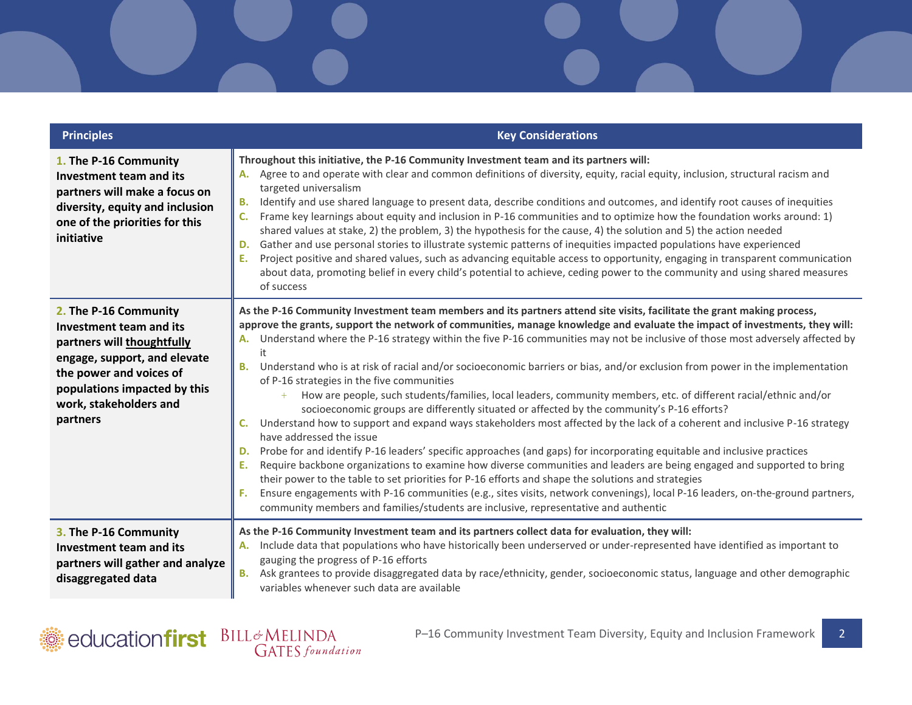| <b>Principles</b>                                                                                                                                                                                               | <b>Key Considerations</b>                                                                                                                                                                                                                                                                                                                                                                                                                                                                                                                                                                                                                                                                                                                                                                                                                                                                                                                                                                                                                                                                                                                                                                                                                                                                                                                                                                                                                                                                                                                                                       |
|-----------------------------------------------------------------------------------------------------------------------------------------------------------------------------------------------------------------|---------------------------------------------------------------------------------------------------------------------------------------------------------------------------------------------------------------------------------------------------------------------------------------------------------------------------------------------------------------------------------------------------------------------------------------------------------------------------------------------------------------------------------------------------------------------------------------------------------------------------------------------------------------------------------------------------------------------------------------------------------------------------------------------------------------------------------------------------------------------------------------------------------------------------------------------------------------------------------------------------------------------------------------------------------------------------------------------------------------------------------------------------------------------------------------------------------------------------------------------------------------------------------------------------------------------------------------------------------------------------------------------------------------------------------------------------------------------------------------------------------------------------------------------------------------------------------|
| 1. The P-16 Community<br>Investment team and its<br>partners will make a focus on<br>diversity, equity and inclusion<br>one of the priorities for this<br>initiative                                            | Throughout this initiative, the P-16 Community Investment team and its partners will:<br>A. Agree to and operate with clear and common definitions of diversity, equity, racial equity, inclusion, structural racism and<br>targeted universalism<br>Identify and use shared language to present data, describe conditions and outcomes, and identify root causes of inequities<br>В.<br>Frame key learnings about equity and inclusion in P-16 communities and to optimize how the foundation works around: 1)<br>shared values at stake, 2) the problem, 3) the hypothesis for the cause, 4) the solution and 5) the action needed<br>Gather and use personal stories to illustrate systemic patterns of inequities impacted populations have experienced<br>D.<br>Ε.<br>Project positive and shared values, such as advancing equitable access to opportunity, engaging in transparent communication<br>about data, promoting belief in every child's potential to achieve, ceding power to the community and using shared measures<br>of success                                                                                                                                                                                                                                                                                                                                                                                                                                                                                                                            |
| 2. The P-16 Community<br>Investment team and its<br>partners will thoughtfully<br>engage, support, and elevate<br>the power and voices of<br>populations impacted by this<br>work, stakeholders and<br>partners | As the P-16 Community Investment team members and its partners attend site visits, facilitate the grant making process,<br>approve the grants, support the network of communities, manage knowledge and evaluate the impact of investments, they will:<br>Understand where the P-16 strategy within the five P-16 communities may not be inclusive of those most adversely affected by<br>А.<br>it<br>Understand who is at risk of racial and/or socioeconomic barriers or bias, and/or exclusion from power in the implementation<br><b>B.</b><br>of P-16 strategies in the five communities<br>How are people, such students/families, local leaders, community members, etc. of different racial/ethnic and/or<br>socioeconomic groups are differently situated or affected by the community's P-16 efforts?<br>Understand how to support and expand ways stakeholders most affected by the lack of a coherent and inclusive P-16 strategy<br>C.<br>have addressed the issue<br>Probe for and identify P-16 leaders' specific approaches (and gaps) for incorporating equitable and inclusive practices<br>D.<br>Require backbone organizations to examine how diverse communities and leaders are being engaged and supported to bring<br>Ε.<br>their power to the table to set priorities for P-16 efforts and shape the solutions and strategies<br>Ensure engagements with P-16 communities (e.g., sites visits, network convenings), local P-16 leaders, on-the-ground partners,<br>community members and families/students are inclusive, representative and authentic |
| 3. The P-16 Community<br>Investment team and its<br>partners will gather and analyze<br>disaggregated data                                                                                                      | As the P-16 Community Investment team and its partners collect data for evaluation, they will:<br>A. Include data that populations who have historically been underserved or under-represented have identified as important to<br>gauging the progress of P-16 efforts<br>Ask grantees to provide disaggregated data by race/ethnicity, gender, socioeconomic status, language and other demographic<br>В.<br>variables whenever such data are available                                                                                                                                                                                                                                                                                                                                                                                                                                                                                                                                                                                                                                                                                                                                                                                                                                                                                                                                                                                                                                                                                                                        |